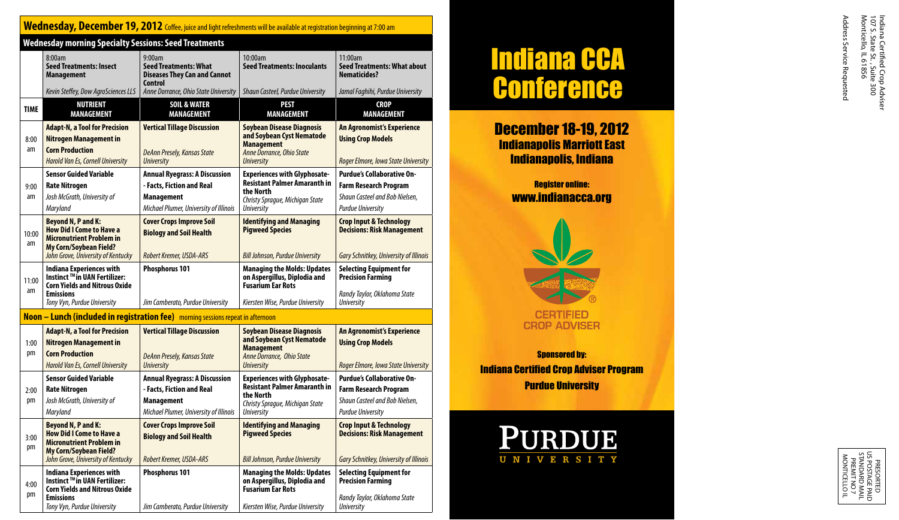# Wednesday, December 19, 2012 Coffee, juice and light refreshments will be available at registration beginning at 7:00 am

| <b>Wednesday morning Specialty Sessions: Seed Treatments</b> |                                                                                                                                                                        |                                                                                                                                  |                                                                                                                                                 |                                                                                                                                 |  |
|--------------------------------------------------------------|------------------------------------------------------------------------------------------------------------------------------------------------------------------------|----------------------------------------------------------------------------------------------------------------------------------|-------------------------------------------------------------------------------------------------------------------------------------------------|---------------------------------------------------------------------------------------------------------------------------------|--|
|                                                              | 8:00am<br><b>Seed Treatments: Insect</b><br><b>Management</b>                                                                                                          | 9:00am<br><b>Seed Treatments: What</b><br><b>Diseases They Can and Cannot</b><br><b>Control</b>                                  | 10:00am<br><b>Seed Treatments: Inoculants</b>                                                                                                   | 11:00am<br><b>Seed Treatments: What about</b><br><b>Nematicides?</b>                                                            |  |
|                                                              | Kevin Steffey, Dow AgroSciences LLS                                                                                                                                    | Anne Dorrance, Ohio State University                                                                                             | Shaun Casteel, Purdue University                                                                                                                | Jamal Faghihi, Purdue University                                                                                                |  |
| <b>TIME</b>                                                  | <b>NUTRIENT</b><br><b>MANAGEMENT</b>                                                                                                                                   | <b>SOIL &amp; WATER</b><br><b>MANAGEMENT</b>                                                                                     | <b>PEST</b><br><b>MANAGEMENT</b>                                                                                                                | <b>CROP</b><br><b>MANAGEMENT</b>                                                                                                |  |
| 8:00<br>am                                                   | <b>Adapt-N, a Tool for Precision</b><br><b>Nitrogen Management in</b><br><b>Corn Production</b>                                                                        | <b>Vertical Tillage Discussion</b><br><b>DeAnn Presely, Kansas State</b>                                                         | <b>Soybean Disease Diagnosis</b><br>and Soybean Cyst Nematode<br><b>Management</b><br>Anne Dorrance, Ohio State                                 | An Agronomist's Experience<br><b>Using Crop Models</b>                                                                          |  |
|                                                              | <b>Harold Van Es, Cornell University</b>                                                                                                                               | <b>University</b>                                                                                                                | <b>University</b>                                                                                                                               | Roger Elmore, Iowa State University                                                                                             |  |
| 9:00<br>am                                                   | <b>Sensor Guided Variable</b><br><b>Rate Nitrogen</b><br>Josh McGrath, University of<br>Maryland                                                                       | <b>Annual Ryegrass: A Discussion</b><br>- Facts, Fiction and Real<br><b>Management</b><br>Michael Plumer, University of Illinois | <b>Experiences with Glyphosate-</b><br><b>Resistant Palmer Amaranth in</b><br>the North<br>Christy Sprague, Michigan State<br><b>University</b> | <b>Purdue's Collaborative On-</b><br><b>Farm Research Program</b><br>Shaun Casteel and Bob Nielsen,<br><b>Purdue University</b> |  |
| 10:00<br>am                                                  | <b>Beyond N, P and K:</b><br><b>How Did I Come to Have a</b><br><b>Micronutrient Problem in</b><br><b>My Corn/Soybean Field?</b><br>John Grove, University of Kentucky | <b>Cover Crops Improve Soil</b><br><b>Biology and Soil Health</b><br>Robert Kremer, USDA-ARS                                     | <b>Identifying and Managing</b><br><b>Pigweed Species</b><br><b>Bill Johnson, Purdue University</b>                                             | <b>Crop Input &amp; Technology</b><br><b>Decisions: Risk Management</b><br><b>Gary Schnitkey, University of Illinois</b>        |  |
| 11:00<br>am                                                  | <b>Indiana Experiences with</b><br>Instinct ™in UAN Fertilizer:<br><b>Corn Yields and Nitrous Oxide</b><br><b>Emissions</b><br>Tony Vyn, Purdue University             | Phosphorus 101<br>Jim Camberato, Purdue University                                                                               | <b>Managing the Molds: Updates</b><br>on Aspergillus, Diplodia and<br><b>Fusarium Ear Rots</b><br>Kiersten Wise, Purdue University              | <b>Selecting Equipment for</b><br><b>Precision Farming</b><br>Randy Taylor, Oklahoma State<br><b>University</b>                 |  |
|                                                              |                                                                                                                                                                        | <b>Noon – Lunch (included in registration fee)</b> morning sessions repeat in afternoon                                          |                                                                                                                                                 |                                                                                                                                 |  |
|                                                              |                                                                                                                                                                        |                                                                                                                                  |                                                                                                                                                 |                                                                                                                                 |  |
| 1:00<br>pm                                                   | <b>Adapt-N, a Tool for Precision</b><br><b>Nitrogen Management in</b><br><b>Corn Production</b><br><b>Harold Van Es, Cornell University</b>                            | <b>Vertical Tillage Discussion</b><br><b>DeAnn Presely, Kansas State</b><br><b>University</b>                                    | <b>Soybean Disease Diagnosis</b><br>and Soybean Cyst Nematode<br><b>Management</b><br>Anne Dorrance, Ohio State<br><b>University</b>            | An Agronomist's Experience<br><b>Using Crop Models</b><br>Roger Elmore, Iowa State University                                   |  |
| 2:00<br>pm                                                   | <b>Sensor Guided Variable</b><br><b>Rate Nitrogen</b><br>Josh McGrath, University of<br>Maryland                                                                       | <b>Annual Ryegrass: A Discussion</b><br>- Facts, Fiction and Real<br><b>Management</b><br>Michael Plumer, University of Illinois | <b>Experiences with Glyphosate-</b><br><b>Resistant Palmer Amaranth in</b><br>the North<br>Christy Sprague, Michigan State<br><b>University</b> | <b>Purdue's Collaborative On-</b><br><b>Farm Research Program</b><br>Shaun Casteel and Bob Nielsen,<br><b>Purdue University</b> |  |
| 3:00<br>pm                                                   | <b>Beyond N, P and K:</b><br><b>How Did I Come to Have a</b><br><b>Micronutrient Problem in</b><br><b>My Corn/Soybean Field?</b><br>John Grove, University of Kentucky | <b>Cover Crops Improve Soil</b><br><b>Biology and Soil Health</b><br>Robert Kremer, USDA-ARS                                     | <b>Identifying and Managing</b><br><b>Pigweed Species</b><br><b>Bill Johnson, Purdue University</b>                                             | <b>Crop Input &amp; Technology</b><br><b>Decisions: Risk Management</b><br><b>Gary Schnitkey, University of Illinois</b>        |  |
| 4:00<br>pm                                                   | <b>Indiana Experiences with</b><br>Instinct ™in UAN Fertilizer:<br><b>Corn Yields and Nitrous Oxide</b><br><b>Emissions</b><br>Tony Vyn, Purdue University             | Phosphorus 101<br>Jim Camberato, Purdue University                                                                               | <b>Managing the Molds: Updates</b><br>on Aspergillus, Diplodia and<br><b>Fusarium Ear Rots</b><br>Kiersten Wise, Purdue University              | <b>Selecting Equipment for</b><br><b>Precision Farming</b><br>Randy Taylor, Oklahoma State<br><b>University</b>                 |  |

# Indiana CCA **Conference**

December 18-19, 2012 Indianapolis Marriott East Indianapolis, Indiana

## Register online: www.indianacca.org



Sponsored by: Indiana Certified Crop Adviser Program Purdue University



Indiana Certified Crop Adviser

PRESORTED<br>STANDARD MAIL<br>STANDARD MAIL<br>STANDARD MAIL<br>PREMIT NOT<br>MONTICELLO IL US POSTAGE PAID STANDARD MAIL MONTICELLO IL PREMIT NO 7 PRESORTED **EPAID**